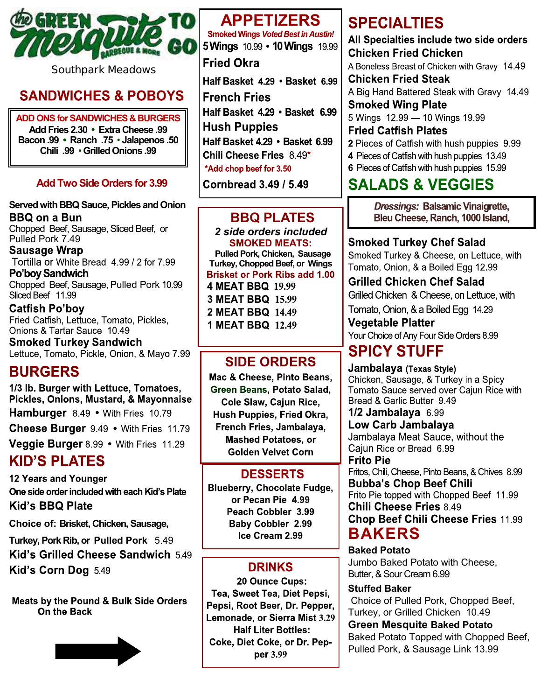

**Southpark Meadows**

#### **SANDWICHES & POBOYS**

**ADD ONS for SANDWICHES & BURGERS Add Fries 2.30 • Extra Cheese .99 Bacon .99 • Ranch .75** • **Jalapenos .50 Chili .99** • **Grilled Onions .99**

#### **Add Two Side Orders for 3.99**

#### **Served with BBQ Sauce, Pickles and Onion BBQ on a Bun**

Chopped Beef, Sausage, Sliced Beef, or Pulled Pork 7.49

Sausage Wrap Tortilla or White Bread 4.99 / 2 for 7.99 Po'boy Sandwich

Chopped Beef, Sausage, Pulled Pork 10.99<br>Sliced Beef 11.99

**Catfish Po'boy** Fried Catfish, Lettuce, Tomato, Pickles, Onions & Tartar Sauce 10.49

**Smoked Turkey Sandwich** Lettuce, Tomato, Pickle, Onion, & Mayo 7.99

## **BURGERS**

1/3 lb. Burger with Lettuce, Tomatoes, Pickles, Onions, Mustard, & Mayonnaise **Hamburger** 8.49 • With Fries 10.79 Cheese Burger 9.49 . With Fries 11.79

Veggie Burger 8.99 • With Fries 11.29

## **KID'S PLATES**

**12 Years and Younger** One side order included with each Kid's Plate **Kid's BBQ Plate** 

**Choice of: Brisket, Chicken, Sausage,** 

**Turkey, Pork Rib, or Pulled Pork** 5.49 Kid's Grilled Cheese Sandwich 5.49 Kid's Corn Dog 5.49

Meats by the Pound & Bulk Side Orders On the Back



# **APPETIZERS**<br>Smoked Wings *Voted Best in Austin!*

5 Wings 10.99 • 10 Wings 19.99

#### **Fried Okra**

Half Basket 4.29 · Basket 6.99 **French Fries** Half Basket 4.29 · Basket 6.99 **Hush Puppies** Half Basket 4.29 · Basket 6.99 Chili Cheese Fries 8.49\* \*Add chop beef for 3.50

Cornbread 3.49 / 5.49

#### **BBQ PLATES**

*2 side orders included* **SMOKED MEATS: Pulled Pork, Chicken, Sausage Turkey, Chopped Beef, or Wings**  4 MEAT BBQ 19.99 3 MEAT BBQ 15.99 2 MEAT BBQ 14.49 **1 MEAT BBQ 12.49** 

#### **SIDE ORDERS**

Mac & Cheese. Pinto Beans. Green Beans, Potato Salad, Cole Slaw, Cajun Rice, Hush Puppies, Fried Okra, French Fries, Jambalaya, **Mashed Potatoes, or Golden Velvet Corn** 

#### **DESSERTS**

**Blueberry, Chocolate Fudge,** or Pecan Pie 4.99 Peach Cobbler 3.99 **Baby Cobbler 2.99** Ice Cream 2.99

## **DRINKS**

20 Ounce Cups: Tea, Sweet Tea, Diet Pepsi, Pepsi, Root Beer, Dr. Pepper, Lemonade, or Sierra Mist 3.29 **Half Liter Bottles:** Coke, Diet Coke, or Dr. Pepper 3.99

## **SPECIALTIES**

All Specialties include two side orders **Chicken Fried Chicken** A Boneless Breast of Chicken with Gravy 14.49 **Chicken Fried Steak** A Big Hand Battered Steak with Gravy 14.49 **Smoked Wing Plate** 5 Wings 12.99 - 10 Wings 19.99 **Fried Catfish Plates** 2 Pieces of Catfish with hush puppies 9.99 4 Pieces of Catfish with hush puppies 13.49 6 Pieces of Catfish with hush puppies 15.99

## **SALADS & VEGGIES**

**Dressings: Balsamic Vinaigrette,** Bleu Cheese, Ranch, 1000 Island,

**Smoked Turkey Chef Salad** Smoked Turkey & Cheese, on Lettuce, with Tomato, Onion, & a Boiled Egg 12.99

**Grilled Chicken Chef Salad** Grilled Chicken & Cheese, on Lettuce, with Tomato, Onion, & a Boiled Egg 14.29

**Vegetable Platter** Your Choice of Any Four Side Orders 8.99

## **SPICY STUFF**

Jambalaya (Texas Style) Chicken, Sausage, & Turkey in a Spicy Tomato Sauce served over Cajun Rice with Bread & Garlic Butter 9.49  $1/2$  Jambalaya 6.99 Low Carb Jambalaya Jambalaya Meat Sauce, without the Cajun Rice or Bread 6.99 **Frito Pie** Fritos, Chili, Cheese, Pinto Beans, & Chives 8.99 **Bubba's Chop Beef Chili** Frito Pie topped with Chopped Beef 11.99 **Chili Cheese Fries 8.49 Chop Beef Chili Cheese Fries 11.99 BAKERS**

**Baked Potato** Jumbo Baked Potato with Cheese, Butter, & Sour Cream 6.99

#### **Stuffed Baker**

Choice of Pulled Pork, Chopped Beef, Turkey, or Grilled Chicken 10.49

**Green Mesquite Baked Potato** Baked Potato Topped with Chopped Beef, Pulled Pork, & Sausage Link 13.99